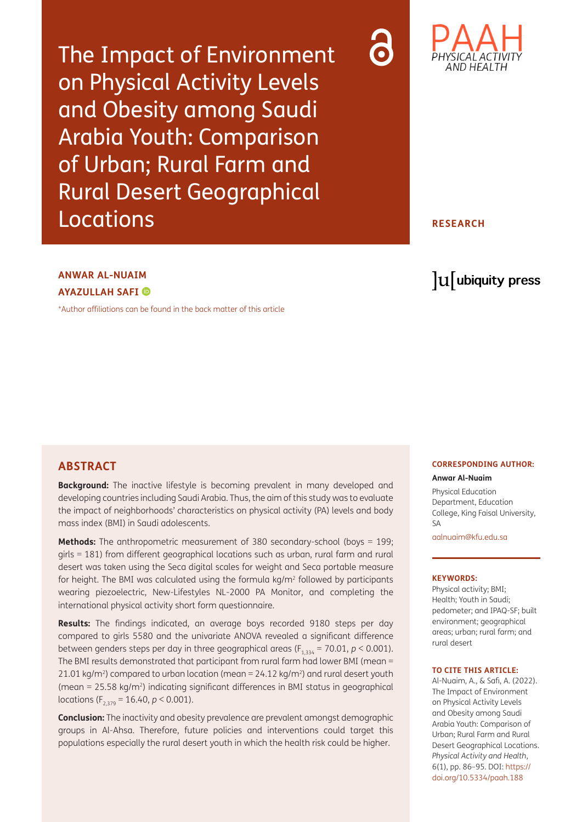The Impact of Environment on Physical Activity Levels and Obesity among Saudi Arabia Youth: Comparison of Urban; Rural Farm and Rural Desert Geographical Locations



### **RESEARCH**

# **ANWAR AL-NUAIM AYAZULLAH SAFI**

[\\*Author affiliations can be found in the back matter of this article](#page-7-0)

# lu ubiquity press

### **ABSTRACT**

**Background:** The inactive lifestyle is becoming prevalent in many developed and developing countries including Saudi Arabia. Thus, the aim of this study was to evaluate the impact of neighborhoods' characteristics on physical activity (PA) levels and body mass index (BMI) in Saudi adolescents.

**Methods:** The anthropometric measurement of 380 secondary-school (boys = 199; girls = 181) from different geographical locations such as urban, rural farm and rural desert was taken using the Seca digital scales for weight and Seca portable measure for height. The BMI was calculated using the formula  $kg/m<sup>2</sup>$  followed by participants wearing piezoelectric, New-Lifestyles NL-2000 PA Monitor, and completing the international physical activity short form questionnaire.

**Results:** The findings indicated, an average boys recorded 9180 steps per day compared to girls 5580 and the univariate ANOVA revealed a significant difference between genders steps per day in three geographical areas  $(F_{1,334} = 70.01, p \le 0.001)$ . The BMI results demonstrated that participant from rural farm had lower BMI (mean = 21.01 kg/m<sup>2</sup>) compared to urban location (mean =  $24.12$  kg/m<sup>2</sup>) and rural desert youth (mean =  $25.58 \text{ kg/m}^2$ ) indicating significant differences in BMI status in geographical locations ( $F_{2,379}$  = 16.40, *p* < 0.001).

**Conclusion:** The inactivity and obesity prevalence are prevalent amongst demographic groups in Al-Ahsa. Therefore, future policies and interventions could target this populations especially the rural desert youth in which the health risk could be higher.

# **CORRESPONDING AUTHOR:**

#### **Anwar Al-Nuaim**

Physical Education Department, Education College, King Faisal University,  $\zeta \Delta$ 

[aalnuaim@kfu.edu.sa](mailto:aalnuaim@kfu.edu.sa)

#### **KEYWORDS:**

Physical activity; BMI; Health; Youth in Saudi; pedometer; and IPAQ-SF; built environment; geographical areas; urban; rural farm; and rural desert

#### **TO CITE THIS ARTICLE:**

Al-Nuaim, A., & Safi, A. (2022). The Impact of Environment on Physical Activity Levels and Obesity among Saudi Arabia Youth: Comparison of Urban; Rural Farm and Rural Desert Geographical Locations. *Physical Activity and Health*, 6(1), pp. 86–95. DOI: [https://](https://doi.org/10.5334/paah.188) [doi.org/10.5334/paah.188](https://doi.org/10.5334/paah.188)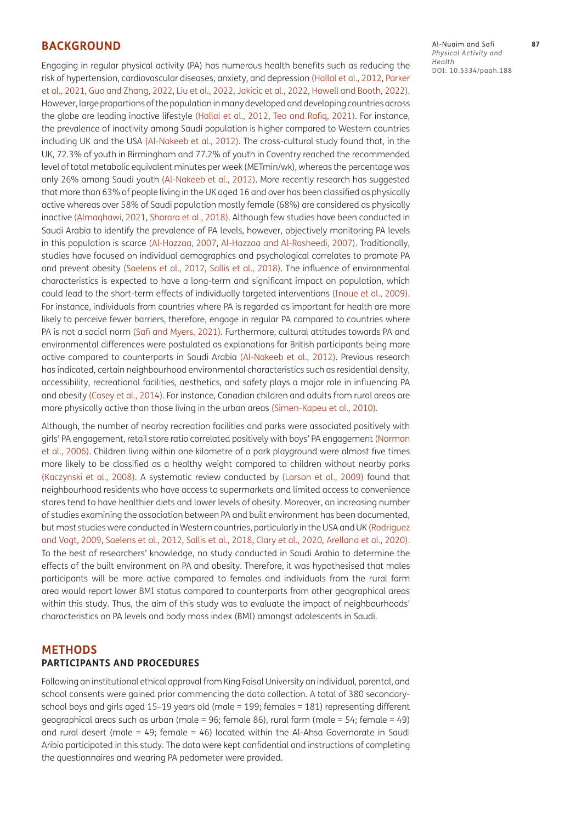### **BACKGROUND**

Engaging in regular physical activity (PA) has numerous health benefits such as reducing the risk of hypertension, cardiovascular diseases, anxiety, and depression [\(Hallal et al., 2012,](#page-8-0) [Parker](#page-8-1)  [et al., 2021,](#page-8-1) [Guo and Zhang, 2022,](#page-8-2) [Liu et al., 2022,](#page-8-3) [Jakicic et al., 2022](#page-8-4), [Howell and Booth, 2022\)](#page-8-5). However, large proportions of the population in many developed and developing countries across the globe are leading inactive lifestyle [\(Hallal et al., 2012](#page-8-0), [Teo and Rafiq, 2021\)](#page-9-0). For instance, the prevalence of inactivity among Saudi population is higher compared to Western countries including UK and the USA [\(Al-Nakeeb et al., 2012\)](#page-7-1). The cross-cultural study found that, in the UK, 72.3% of youth in Birmingham and 77.2% of youth in Coventry reached the recommended level of total metabolic equivalent minutes per week (METmin/wk), whereas the percentage was only 26% among Saudi youth [\(Al-Nakeeb et al., 2012\)](#page-7-1). More recently research has suggested that more than 63% of people living in the UK aged 16 and over has been classified as physically active whereas over 58% of Saudi population mostly female (68%) are considered as physically inactive [\(Almaqhawi, 2021](#page-7-2), [Sharara et al., 2018\).](#page-9-1) Although few studies have been conducted in Saudi Arabia to identify the prevalence of PA levels, however, objectively monitoring PA levels in this population is scarce [\(Al-Hazzaa, 2007](#page-7-3), [Al-Hazzaa and Al-Rasheedi, 2007\).](#page-7-4) Traditionally, studies have focused on individual demographics and psychological correlates to promote PA and prevent obesity [\(Saelens et al., 2012](#page-8-6), [Sallis et al., 2018\)](#page-9-2). The influence of environmental characteristics is expected to have a long-term and significant impact on population, which could lead to the short-term effects of individually targeted interventions [\(Inoue et al., 2009\)](#page-8-7). For instance, individuals from countries where PA is regarded as important for health are more likely to perceive fewer barriers, therefore, engage in regular PA compared to countries where PA is not a social norm [\(Safi and Myers, 2021\).](#page-8-8) Furthermore, cultural attitudes towards PA and environmental differences were postulated as explanations for British participants being more active compared to counterparts in Saudi Arabia [\(Al-Nakeeb et al., 2012\)](#page-7-1). Previous research has indicated, certain neighbourhood environmental characteristics such as residential density, accessibility, recreational facilities, aesthetics, and safety plays a major role in influencing PA and obesity [\(Casey et al., 2014\)](#page-7-5). For instance, Canadian children and adults from rural areas are more physically active than those living in the urban areas [\(Simen-Kapeu et al., 2010\).](#page-9-3)

Although, the number of nearby recreation facilities and parks were associated positively with girls' PA engagement, retail store ratio correlated positively with boys' PA engagement [\(Norman](#page-8-9)  [et al., 2006\)](#page-8-9). Children living within one kilometre of a park playground were almost five times more likely to be classified as a healthy weight compared to children without nearby parks [\(Kaczynski et al., 2008\)](#page-8-10). A systematic review conducted by [\(Larson et al., 2009\)](#page-8-11) found that neighbourhood residents who have access to supermarkets and limited access to convenience stores tend to have healthier diets and lower levels of obesity. Moreover, an increasing number of studies examining the association between PA and built environment has been documented, but most studies were conducted in Western countries, particularly in the USA and UK [\(Rodriguez](#page-8-12)  [and Vogt, 2009,](#page-8-12) [Saelens et al., 2012](#page-8-6), [Sallis et al., 2018,](#page-9-2) [Clary et al., 2020,](#page-7-6) Arellana et al., 2020). To the best of researchers' knowledge, no study conducted in Saudi Arabia to determine the effects of the built environment on PA and obesity. Therefore, it was hypothesised that males participants will be more active compared to females and individuals from the rural farm area would report lower BMI status compared to counterparts from other geographical areas within this study. Thus, the aim of this study was to evaluate the impact of neighbourhoods' characteristics on PA levels and body mass index (BMI) amongst adolescents in Saudi.

### **METHODS PARTICIPANTS AND PROCEDURES**

Following an institutional ethical approval from King Faisal University an individual, parental, and school consents were gained prior commencing the data collection. A total of 380 secondaryschool boys and girls aged 15–19 years old (male = 199; females = 181) representing different geographical areas such as urban (male = 96; female 86), rural farm (male = 54; female = 49) and rural desert (male = 49; female = 46) located within the Al-Ahsa Governorate in Saudi Aribia participated in this study. The data were kept confidential and instructions of completing the questionnaires and wearing PA pedometer were provided.

Al-Nuaim and Safi **87** *Physical Activity and Health* DOI: 10.5334/paah.188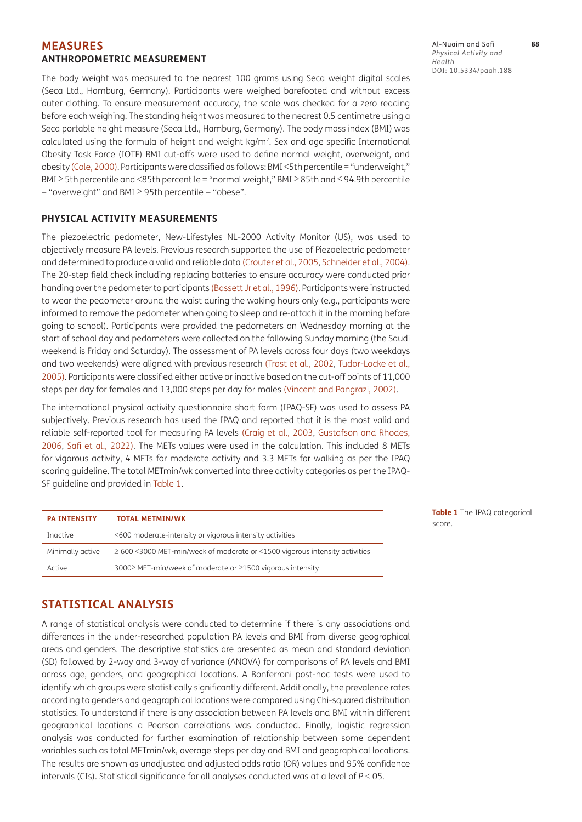### **MEASURES ANTHROPOMETRIC MEASUREMENT**

The body weight was measured to the nearest 100 grams using Seca weight digital scales (Seca Ltd., Hamburg, Germany). Participants were weighed barefooted and without excess outer clothing. To ensure measurement accuracy, the scale was checked for a zero reading before each weighing. The standing height was measured to the nearest 0.5 centimetre using a Seca portable height measure (Seca Ltd., Hamburg, Germany). The body mass index (BMI) was calculated using the formula of height and weight kg/m<sup>2</sup>. Sex and age specific International Obesity Task Force (IOTF) BMI cut-offs were used to define normal weight, overweight, and obesity [\(Cole, 2000\)](#page-7-7). Participants were classified as follows: BMI <5th percentile = "underweight," BMI ≥ 5th percentile and <85th percentile = "normal weight," BMI ≥ 85th and ≤ 94.9th percentile  $=$  "overweight" and BMI  $\geq$  95th percentile  $=$  "obese".

#### **PHYSICAL ACTIVITY MEASUREMENTS**

The piezoelectric pedometer, New-Lifestyles NL-2000 Activity Monitor (US), was used to objectively measure PA levels. Previous research supported the use of Piezoelectric pedometer and determined to produce a valid and reliable data [\(Crouter et al., 2005,](#page-7-8) [Schneider et al., 2004\)](#page-9-4). The 20-step field check including replacing batteries to ensure accuracy were conducted prior handing over the pedometer to participants [\(Bassett Jr et al., 1996\)](#page-7-9). Participants were instructed to wear the pedometer around the waist during the waking hours only (e.g., participants were informed to remove the pedometer when going to sleep and re-attach it in the morning before going to school). Participants were provided the pedometers on Wednesday morning at the start of school day and pedometers were collected on the following Sunday morning (the Saudi weekend is Friday and Saturday). The assessment of PA levels across four days (two weekdays and two weekends) were aligned with previous research [\(Trost et al., 2002](#page-9-5), [Tudor-Locke et al.,](#page-9-6)  [2005\)](#page-9-6). Participants were classified either active or inactive based on the cut-off points of 11,000 steps per day for females and 13,000 steps per day for males [\(Vincent and Pangrazi, 2002\)](#page-9-7).

The international physical activity questionnaire short form (IPAQ-SF) was used to assess PA subjectively. Previous research has used the IPAQ and reported that it is the most valid and reliable self-reported tool for measuring PA levels (Craig et al., 2003, [Gustafson and Rhodes,](#page-8-13)  [2006](#page-8-13), [Safi et al., 2022\).](#page-8-14) The METs values were used in the calculation. This included 8 METs for vigorous activity, 4 METs for moderate activity and 3.3 METs for walking as per the IPAQ scoring guideline. The total METmin/wk converted into three activity categories as per the IPAQ-SF guideline and provided in [Table 1](#page-2-0).

| <b>PA INTENSITY</b> | <b>TOTAL METMIN/WK</b>                                                           |
|---------------------|----------------------------------------------------------------------------------|
| Inactive            | <600 moderate-intensity or vigorous intensity activities                         |
| Minimally active    | $\geq$ 600 <3000 MET-min/week of moderate or <1500 vigorous intensity activities |
| Active              | 3000≥ MET-min/week of moderate or ≥1500 vigorous intensity                       |

<span id="page-2-0"></span>**Table 1** The IPAQ categorical score.

#### Al-Nuaim and Safi **88** *Physical Activity and Health* DOI: 10.5334/paah.188

A range of statistical analysis were conducted to determine if there is any associations and differences in the under-researched population PA levels and BMI from diverse geographical areas and genders. The descriptive statistics are presented as mean and standard deviation

**STATISTICAL ANALYSIS**

(SD) followed by 2-way and 3-way of variance (ANOVA) for comparisons of PA levels and BMI across age, genders, and geographical locations. A Bonferroni post-hoc tests were used to identify which groups were statistically significantly different. Additionally, the prevalence rates according to genders and geographical locations were compared using Chi-squared distribution statistics. To understand if there is any association between PA levels and BMI within different geographical locations a Pearson correlations was conducted. Finally, logistic regression analysis was conducted for further examination of relationship between some dependent variables such as total METmin/wk, average steps per day and BMI and geographical locations. The results are shown as unadjusted and adjusted odds ratio (OR) values and 95% confidence intervals (CIs). Statistical significance for all analyses conducted was at a level of *P <* 05.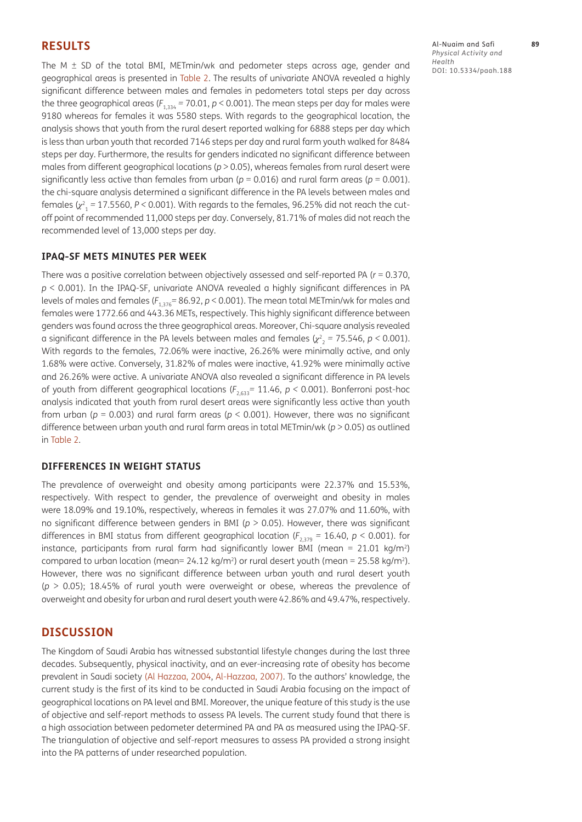#### **RESULTS**

The M  $\pm$  SD of the total BMI, METmin/wk and pedometer steps across age, gender and geographical areas is presented in [Table 2](#page-4-0). The results of univariate ANOVA revealed a highly significant difference between males and females in pedometers total steps per day across the three geographical areas ( $F_{1,334}$  = 70.01,  $p$  < 0.001). The mean steps per day for males were 9180 whereas for females it was 5580 steps. With regards to the geographical location, the analysis shows that youth from the rural desert reported walking for 6888 steps per day which is less than urban youth that recorded 7146 steps per day and rural farm youth walked for 8484 steps per day. Furthermore, the results for genders indicated no significant difference between males from different geographical locations (*p* > 0.05), whereas females from rural desert were significantly less active than females from urban ( $p = 0.016$ ) and rural farm areas ( $p = 0.001$ ). the chi-square analysis determined a significant difference in the PA levels between males and females (*χ*<sup>2</sup> <sup>1</sup> *=* 17.5560, *P <* 0*.*001). With regards to the females, 96.25% did not reach the cutoff point of recommended 11,000 steps per day. Conversely, 81.71% of males did not reach the recommended level of 13,000 steps per day.

#### **IPAQ-SF METS MINUTES PER WEEK**

There was a positive correlation between objectively assessed and self-reported PA (*r* = 0.370, *p* < 0.001). In the IPAQ-SF, univariate ANOVA revealed a highly significant differences in PA levels of males and females (*F*1,376*=* 86.92, *p* < 0.001). The mean total METmin/wk for males and females were 1772.66 and 443.36 METs, respectively. This highly significant difference between genders was found across the three geographical areas. Moreover, Chi-square analysis revealed a significant difference in the PA levels between males and females  $(\chi^2_{\phantom{2}2} = 75.546, p < 0.001)$ . With regards to the females, 72.06% were inactive, 26.26% were minimally active, and only 1.68% were active. Conversely, 31.82% of males were inactive, 41.92% were minimally active and 26.26% were active. A univariate ANOVA also revealed a significant difference in PA levels of youth from different geographical locations (*F*2,633*=* 11.46, *p <* 0*.*001). Bonferroni post-hoc analysis indicated that youth from rural desert areas were significantly less active than youth from urban (*p* = 0.003) and rural farm areas (*p* < 0.001). However, there was no significant difference between urban youth and rural farm areas in total METmin/wk (*p* > 0.05) as outlined in [Table 2.](#page-4-0)

#### **DIFFERENCES IN WEIGHT STATUS**

The prevalence of overweight and obesity among participants were 22.37% and 15.53%, respectively. With respect to gender, the prevalence of overweight and obesity in males were 18.09% and 19.10%, respectively, whereas in females it was 27.07% and 11.60%, with no significant difference between genders in BMI (*p* > 0.05). However, there was significant differences in BMI status from different geographical location (*F*2,379 *=* 16.40, *p* < 0.001). for instance, participants from rural farm had significantly lower BMI (mean =  $21.01 \text{ kg/m}^2$ ) compared to urban location (mean=  $24.12$  kg/m<sup>2</sup>) or rural desert youth (mean =  $25.58$  kg/m<sup>2</sup>). However, there was no significant difference between urban youth and rural desert youth (*p* > 0.05); 18.45% of rural youth were overweight or obese, whereas the prevalence of overweight and obesity for urban and rural desert youth were 42.86% and 49.47%, respectively.

#### **DISCUSSION**

The Kingdom of Saudi Arabia has witnessed substantial lifestyle changes during the last three decades. Subsequently, physical inactivity, and an ever-increasing rate of obesity has become prevalent in Saudi society [\(Al Hazzaa, 2004](#page-7-10)[, Al-Hazzaa, 2007\).](#page-7-3) To the authors' knowledge, the current study is the first of its kind to be conducted in Saudi Arabia focusing on the impact of geographical locations on PA level and BMI. Moreover, the unique feature of this study is the use of objective and self-report methods to assess PA levels. The current study found that there is a high association between pedometer determined PA and PA as measured using the IPAQ-SF. The triangulation of objective and self-report measures to assess PA provided a strong insight into the PA patterns of under researched population.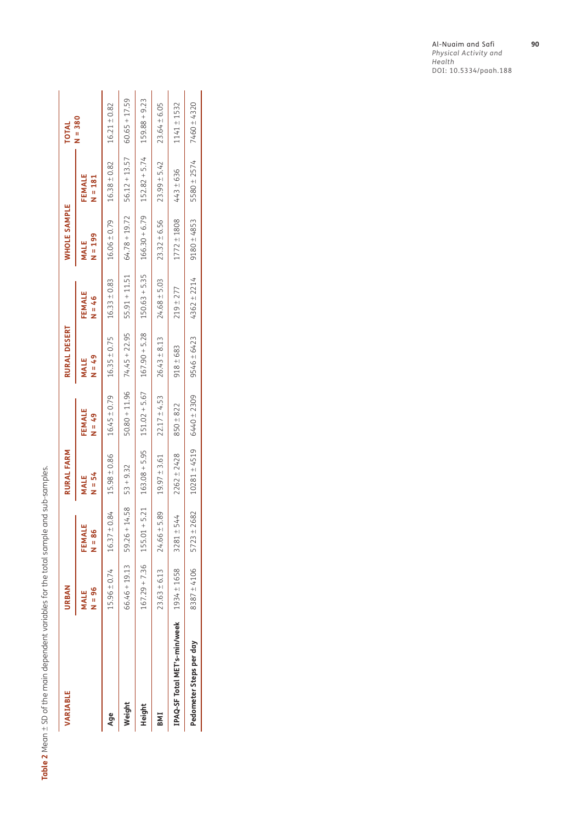<span id="page-4-0"></span>Table 2 Mean ± SD of the main dependent variables for the total sample and sub-samples. **Table 2** Mean ± SD of the main dependent variables for the total sample and sub-samples.

| $64.78 + 19.72$<br>$23.32 \pm 6.56$<br>$16.06 \pm 0.79$<br>$1772 \pm 1808$<br>$N = 199$<br>MALE<br>$55.91 + 11.51$<br>$150.63 + 5.35$<br>$16.33 \pm 0.83$<br>$24.68 \pm 5.03$<br>$219 + 277$<br>FEMALE<br>$M = 46$<br>$151.02 + 5.67$ $167.90 + 5.28$<br>$74.45 + 22.95$<br>$26.43 \pm 8.13$<br>$16.35 \pm 0.75$<br>$918 \pm 683$<br>$R_7 = N$<br>MALE<br>$50.80 + 11.96$<br>$16.45 \pm 0.79$<br>$22.17 \pm 4.53$<br>$850 + 822$<br>FEMALE<br>$R_7 = N$<br>$163.08 + 5.95$<br>$2262 \pm 2428$<br>$19.97 \pm 3.61$<br>$15.98 \pm 0.86$<br>$53 + 9.32$<br>$X = 54$<br>MALE<br>5.21<br>$59.26 + 14.58$<br>$16.37 \pm 0.84$<br>$24.66 \pm 5.89$<br>$3281 + 544$<br>$167.29 + 7.36$ 155.01 +<br>FEMALE<br>$N = 86$<br>$66.46 + 19.13$<br>$15.96 \pm 0.74$<br>IPAQ-SF Total MET's-min/week $1934 \pm 1658$<br>$23.63 \pm 6.13$<br>$N = 96$<br>MALE<br>Weight<br>Height<br>Age<br>BMI | VARIABLE                | URBAN           |                      | RURAL FARM       |                 | RURAL DESERT |             | <b>WHOLE SAMPLE</b>             |                     | TOTAL            |
|--------------------------------------------------------------------------------------------------------------------------------------------------------------------------------------------------------------------------------------------------------------------------------------------------------------------------------------------------------------------------------------------------------------------------------------------------------------------------------------------------------------------------------------------------------------------------------------------------------------------------------------------------------------------------------------------------------------------------------------------------------------------------------------------------------------------------------------------------------------------------------|-------------------------|-----------------|----------------------|------------------|-----------------|--------------|-------------|---------------------------------|---------------------|------------------|
|                                                                                                                                                                                                                                                                                                                                                                                                                                                                                                                                                                                                                                                                                                                                                                                                                                                                                |                         |                 |                      |                  |                 |              |             |                                 | FEMALE<br>$N = 181$ | $N = 380$        |
|                                                                                                                                                                                                                                                                                                                                                                                                                                                                                                                                                                                                                                                                                                                                                                                                                                                                                |                         |                 |                      |                  |                 |              |             |                                 | $16.38 \pm 0.82$    | $16.21 \pm 0.82$ |
|                                                                                                                                                                                                                                                                                                                                                                                                                                                                                                                                                                                                                                                                                                                                                                                                                                                                                |                         |                 |                      |                  |                 |              |             |                                 | $56.12 + 13.57$     | $60.65 + 17.59$  |
|                                                                                                                                                                                                                                                                                                                                                                                                                                                                                                                                                                                                                                                                                                                                                                                                                                                                                |                         |                 |                      |                  |                 |              |             | $166.30 + 6.79$ $152.82 + 5.74$ |                     | $159.88 + 9.23$  |
|                                                                                                                                                                                                                                                                                                                                                                                                                                                                                                                                                                                                                                                                                                                                                                                                                                                                                |                         |                 |                      |                  |                 |              |             |                                 | $23.99 \pm 5.42$    | $23.64 \pm 6.05$ |
|                                                                                                                                                                                                                                                                                                                                                                                                                                                                                                                                                                                                                                                                                                                                                                                                                                                                                |                         |                 |                      |                  |                 |              |             |                                 | 443 ± 636           | $1141 \pm 1532$  |
|                                                                                                                                                                                                                                                                                                                                                                                                                                                                                                                                                                                                                                                                                                                                                                                                                                                                                | Pedometer Steps per day | $8387 \pm 4106$ | :682<br>$5723 \pm 2$ | $10281 \pm 4519$ | $6440 \pm 2309$ | 9546 ± 6423  | 4362 ± 2214 | $9180 + 4853$                   | 5580 ± 2574         | 7460 ± 4320      |

Al-Nuaim and Safi **90** *Physical Activity and Health* DOI: 10.5334/paah.188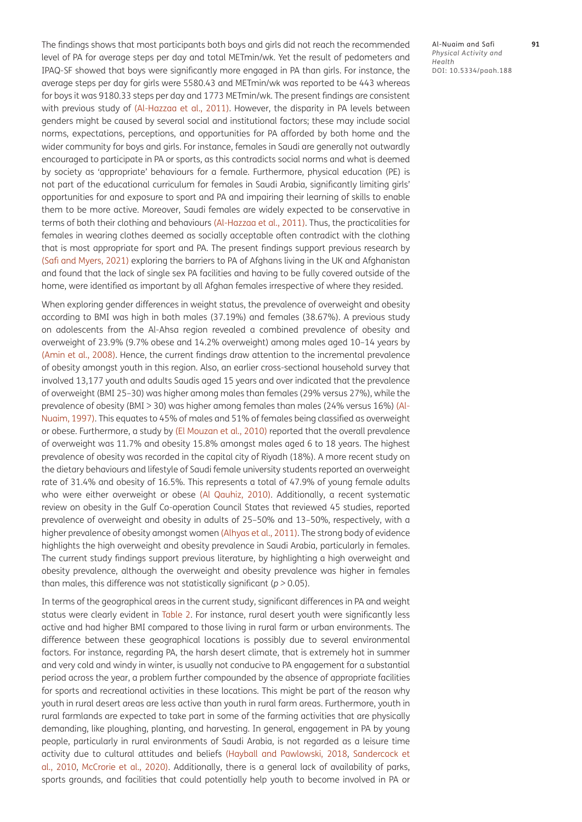The findings shows that most participants both boys and girls did not reach the recommended level of PA for average steps per day and total METmin/wk. Yet the result of pedometers and IPAQ-SF showed that boys were significantly more engaged in PA than girls. For instance, the average steps per day for girls were 5580.43 and METmin/wk was reported to be 443 whereas for boys it was 9180.33 steps per day and 1773 METmin/wk. The present findings are consistent with previous study of [\(Al-Hazzaa et al., 2011\)](#page-7-11). However, the disparity in PA levels between genders might be caused by several social and institutional factors; these may include social norms, expectations, perceptions, and opportunities for PA afforded by both home and the wider community for boys and girls. For instance, females in Saudi are generally not outwardly encouraged to participate in PA or sports, as this contradicts social norms and what is deemed by society as 'appropriate' behaviours for a female. Furthermore, physical education (PE) is not part of the educational curriculum for females in Saudi Arabia, significantly limiting girls' opportunities for and exposure to sport and PA and impairing their learning of skills to enable them to be more active. Moreover, Saudi females are widely expected to be conservative in terms of both their clothing and behaviours [\(Al-Hazzaa et al., 2011\)](#page-7-11). Thus, the practicalities for females in wearing clothes deemed as socially acceptable often contradict with the clothing that is most appropriate for sport and PA. The present findings support previous research by [\(Safi and Myers, 2021\)](#page-8-8) exploring the barriers to PA of Afghans living in the UK and Afghanistan and found that the lack of single sex PA facilities and having to be fully covered outside of the home, were identified as important by all Afghan females irrespective of where they resided.

When exploring gender differences in weight status, the prevalence of overweight and obesity according to BMI was high in both males (37.19%) and females (38.67%). A previous study on adolescents from the Al-Ahsa region revealed a combined prevalence of obesity and overweight of 23.9% (9.7% obese and 14.2% overweight) among males aged 10–14 years by [\(Amin et al., 2008\)](#page-7-12). Hence, the current findings draw attention to the incremental prevalence of obesity amongst youth in this region. Also, an earlier cross-sectional household survey that involved 13,177 youth and adults Saudis aged 15 years and over indicated that the prevalence of overweight (BMI 25–30) was higher among males than females (29% versus 27%), while the prevalence of obesity (BMI > 30) was higher among females than males (24% versus 16%) [\(Al-](#page-7-13)[Nuaim, 1997\).](#page-7-13) This equates to 45% of males and 51% of females being classified as overweight or obese. Furthermore, a study by [\(El Mouzan et al., 2010\)](#page-8-15) reported that the overall prevalence of overweight was 11.7% and obesity 15.8% amongst males aged 6 to 18 years. The highest prevalence of obesity was recorded in the capital city of Riyadh (18%). A more recent study on the dietary behaviours and lifestyle of Saudi female university students reported an overweight rate of 31.4% and obesity of 16.5%. This represents a total of 47.9% of young female adults who were either overweight or obese [\(Al Qauhiz, 2010\).](#page-7-14) Additionally, a recent systematic review on obesity in the Gulf Co-operation Council States that reviewed 45 studies, reported prevalence of overweight and obesity in adults of 25–50% and 13–50%, respectively, with a higher prevalence of obesity amongst women [\(Alhyas et al., 2011\)](#page-7-15). The strong body of evidence highlights the high overweight and obesity prevalence in Saudi Arabia, particularly in females. The current study findings support previous literature, by highlighting a high overweight and obesity prevalence, although the overweight and obesity prevalence was higher in females than males, this difference was not statistically significant (*p >* 0.05).

In terms of the geographical areas in the current study, significant differences in PA and weight status were clearly evident in [Table 2.](#page-4-0) For instance, rural desert youth were significantly less active and had higher BMI compared to those living in rural farm or urban environments. The difference between these geographical locations is possibly due to several environmental factors. For instance, regarding PA, the harsh desert climate, that is extremely hot in summer and very cold and windy in winter, is usually not conducive to PA engagement for a substantial period across the year, a problem further compounded by the absence of appropriate facilities for sports and recreational activities in these locations. This might be part of the reason why youth in rural desert areas are less active than youth in rural farm areas. Furthermore, youth in rural farmlands are expected to take part in some of the farming activities that are physically demanding, like ploughing, planting, and harvesting. In general, engagement in PA by young people, particularly in rural environments of Saudi Arabia, is not regarded as a leisure time activity due to cultural attitudes and beliefs [\(Hayball and Pawlowski, 2018](#page-8-16), [Sandercock et](#page-9-8)  [al., 2010](#page-9-8), [McCrorie et al., 2020\)](#page-8-17). Additionally, there is a general lack of availability of parks, sports grounds, and facilities that could potentially help youth to become involved in PA or

Al-Nuaim and Safi **91** *Physical Activity and Health* DOI: 10.5334/paah.188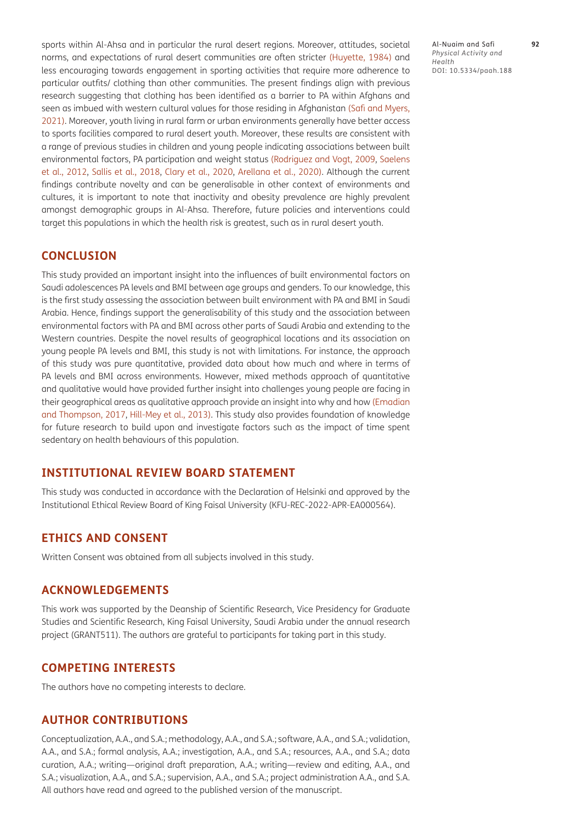sports within Al-Ahsa and in particular the rural desert regions. Moreover, attitudes, societal norms, and expectations of rural desert communities are often stricter [\(Huyette, 1984\)](#page-8-18) and less encouraging towards engagement in sporting activities that require more adherence to particular outfits/ clothing than other communities. The present findings align with previous research suggesting that clothing has been identified as a barrier to PA within Afghans and seen as imbued with western cultural values for those residing in Afghanistan [\(Safi and Myers,](#page-8-8)  [2021\)](#page-8-8). Moreover, youth living in rural farm or urban environments generally have better access to sports facilities compared to rural desert youth. Moreover, these results are consistent with a range of previous studies in children and young people indicating associations between built environmental factors, PA participation and weight status [\(Rodriguez and Vogt, 2009,](#page-8-12) [Saelens](#page-8-6)  [et al., 2012,](#page-8-6) [Sallis et al., 2018,](#page-9-2) [Clary et al., 2020](#page-7-6), Arellana et al., 2020). Although the current findings contribute novelty and can be generalisable in other context of environments and cultures, it is important to note that inactivity and obesity prevalence are highly prevalent amongst demographic groups in Al-Ahsa. Therefore, future policies and interventions could target this populations in which the health risk is greatest, such as in rural desert youth.

# **CONCLUSION**

This study provided an important insight into the influences of built environmental factors on Saudi adolescences PA levels and BMI between age groups and genders. To our knowledge, this is the first study assessing the association between built environment with PA and BMI in Saudi Arabia. Hence, findings support the generalisability of this study and the association between environmental factors with PA and BMI across other parts of Saudi Arabia and extending to the Western countries. Despite the novel results of geographical locations and its association on young people PA levels and BMI, this study is not with limitations. For instance, the approach of this study was pure quantitative, provided data about how much and where in terms of PA levels and BMI across environments. However, mixed methods approach of quantitative and qualitative would have provided further insight into challenges young people are facing in their geographical areas as qualitative approach provide an insight into why and how [\(Emadian](#page-8-19)  [and Thompson, 2017](#page-8-19), [Hill-Mey et al., 2013\).](#page-8-20) This study also provides foundation of knowledge for future research to build upon and investigate factors such as the impact of time spent sedentary on health behaviours of this population.

# **INSTITUTIONAL REVIEW BOARD STATEMENT**

This study was conducted in accordance with the Declaration of Helsinki and approved by the Institutional Ethical Review Board of King Faisal University (KFU-REC-2022-APR-EA000564).

# **ETHICS AND CONSENT**

Written Consent was obtained from all subjects involved in this study.

#### **ACKNOWLEDGEMENTS**

This work was supported by the Deanship of Scientific Research, Vice Presidency for Graduate Studies and Scientific Research, King Faisal University, Saudi Arabia under the annual research project (GRANT511). The authors are grateful to participants for taking part in this study.

# **COMPETING INTERESTS**

The authors have no competing interests to declare.

#### **AUTHOR CONTRIBUTIONS**

Conceptualization, A.A., and S.A.; methodology, A.A., and S.A.; software, A.A., and S.A.; validation, A.A., and S.A.; formal analysis, A.A.; investigation, A.A., and S.A.; resources, A.A., and S.A.; data curation, A.A.; writing—original draft preparation, A.A.; writing—review and editing, A.A., and S.A.; visualization, A.A., and S.A.; supervision, A.A., and S.A.; project administration A.A., and S.A. All authors have read and agreed to the published version of the manuscript.

Al-Nuaim and Safi **92** *Physical Activity and Health* DOI: 10.5334/paah.188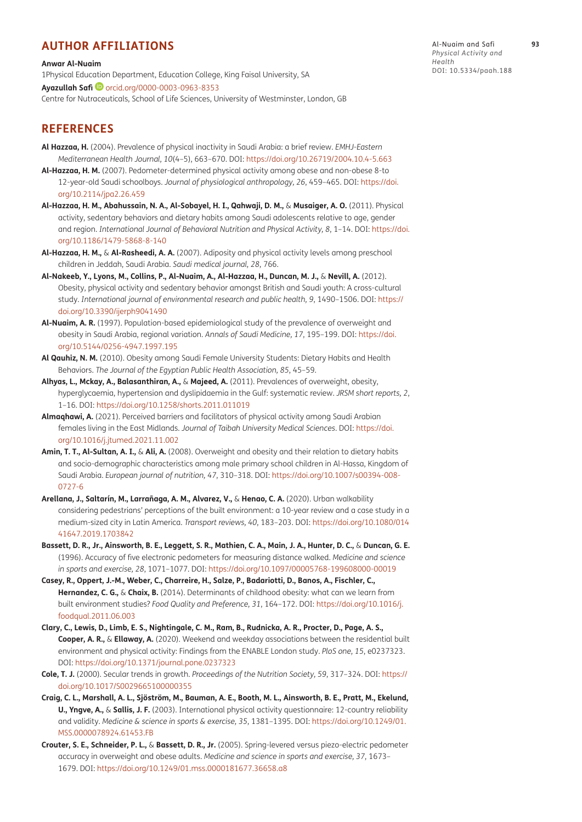# <span id="page-7-0"></span>**AUTHOR AFFILIATIONS**

**Anwar Al-Nuaim**

1Physical Education Department, Education College, King Faisal University, SA **Ayazullah Safi**[orcid.org/0000-0003-0963-8353](https://orcid.org/0000-0003-0963-8353) Centre for Nutraceuticals, School of Life Sciences, University of Westminster, London, GB

# **REFERENCES**

- <span id="page-7-10"></span>**Al Hazzaa, H.** (2004). Prevalence of physical inactivity in Saudi Arabia: a brief review. *EMHJ-Eastern Mediterranean Health Journal, 10*(4–5), 663–670. DOI:<https://doi.org/10.26719/2004.10.4-5.663>
- <span id="page-7-3"></span>**Al-Hazzaa, H. M.** (2007). Pedometer-determined physical activity among obese and non-obese 8-to 12-year-old Saudi schoolboys. *Journal of physiological anthropology, 26*, 459–465. DOI: [https://doi.](https://doi.org/10.2114/jpa2.26.459) [org/10.2114/jpa2.26.459](https://doi.org/10.2114/jpa2.26.459)
- <span id="page-7-11"></span>**Al-Hazzaa, H. M., Abahussain, N. A., Al-Sobayel, H. I., Qahwaji, D. M.,** & **Musaiger, A. O.** (2011). Physical activity, sedentary behaviors and dietary habits among Saudi adolescents relative to age, gender and region. *International Journal of Behavioral Nutrition and Physical Activity, 8*, 1–14. DOI: [https://doi.](https://doi.org/10.1186/1479-5868-8-140) [org/10.1186/1479-5868-8-140](https://doi.org/10.1186/1479-5868-8-140)
- <span id="page-7-4"></span>**Al-Hazzaa, H. M.,** & **Al-Rasheedi, A. A.** (2007). Adiposity and physical activity levels among preschool children in Jeddah, Saudi Arabia. *Saudi medical journal, 28*, 766.
- <span id="page-7-1"></span>**Al-Nakeeb, Y., Lyons, M., Collins, P., Al-Nuaim, A., Al-Hazzaa, H., Duncan, M. J.,** & **Nevill, A.** (2012). Obesity, physical activity and sedentary behavior amongst British and Saudi youth: A cross-cultural study. *International journal of environmental research and public health, 9*, 1490–1506. DOI: [https://](https://doi.org/10.3390/ijerph9041490) [doi.org/10.3390/ijerph9041490](https://doi.org/10.3390/ijerph9041490)
- <span id="page-7-13"></span>**Al-Nuaim, A. R.** (1997). Population-based epidemiological study of the prevalence of overweight and obesity in Saudi Arabia, regional variation. *Annals of Saudi Medicine, 17*, 195–199. DOI: [https://doi.](https://doi.org/10.5144/0256-4947.1997.195) [org/10.5144/0256-4947.1997.195](https://doi.org/10.5144/0256-4947.1997.195)
- <span id="page-7-14"></span>**Al Qauhiz, N. M.** (2010). Obesity among Saudi Female University Students: Dietary Habits and Health Behaviors. *The Journal of the Egyptian Public Health Association, 85*, 45–59.
- <span id="page-7-15"></span>**Alhyas, L., Mckay, A., Balasanthiran, A.,** & **Majeed, A.** (2011). Prevalences of overweight, obesity, hyperglycaemia, hypertension and dyslipidaemia in the Gulf: systematic review. *JRSM short reports, 2*, 1–16. DOI: <https://doi.org/10.1258/shorts.2011.011019>
- <span id="page-7-2"></span>Almaghawi, A. (2021). Perceived barriers and facilitators of physical activity among Saudi Arabian females living in the East Midlands. *Journal of Taibah University Medical Sciences*. DOI: [https://doi.](https://doi.org/10.1016/j.jtumed.2021.11.002) [org/10.1016/j.jtumed.2021.11.002](https://doi.org/10.1016/j.jtumed.2021.11.002)
- <span id="page-7-12"></span>**Amin, T. T., Al-Sultan, A. I.,** & **Ali, A.** (2008). Overweight and obesity and their relation to dietary habits and socio-demographic characteristics among male primary school children in Al-Hassa, Kingdom of Saudi Arabia. *European journal of nutrition, 47*, 310–318. DOI: [https://doi.org/10.1007/s00394-008-](https://doi.org/10.1007/s00394-008-0727-6) [0727-6](https://doi.org/10.1007/s00394-008-0727-6)
- **Arellana, J., Saltarín, M., Larrañaga, A. M., Alvarez, V.,** & **Henao, C. A.** (2020). Urban walkability considering pedestrians' perceptions of the built environment: a 10-year review and a case study in a medium-sized city in Latin America. *Transport reviews, 40*, 183–203. DOI: [https://doi.org/10.1080/014](https://doi.org/10.1080/01441647.2019.1703842) [41647.2019.1703842](https://doi.org/10.1080/01441647.2019.1703842)
- <span id="page-7-9"></span>**Bassett, D. R., Jr., Ainsworth, B. E., Leggett, S. R., Mathien, C. A., Main, J. A., Hunter, D. C.,** & **Duncan, G. E.**  (1996). Accuracy of five electronic pedometers for measuring distance walked. *Medicine and science in sports and exercise, 28*, 1071–1077. DOI:<https://doi.org/10.1097/00005768-199608000-00019>
- <span id="page-7-5"></span>**Casey, R., Oppert, J.-M., Weber, C., Charreire, H., Salze, P., Badariotti, D., Banos, A., Fischler, C., Hernandez, C. G.,** & **Chaix, B.** (2014). Determinants of childhood obesity: what can we learn from built environment studies? *Food Quality and Preference, 31*, 164–172. DOI: [https://doi.org/10.1016/j.](https://doi.org/10.1016/j.foodqual.2011.06.003) [foodqual.2011.06.003](https://doi.org/10.1016/j.foodqual.2011.06.003)
- <span id="page-7-6"></span>**Clary, C., Lewis, D., Limb, E. S., Nightingale, C. M., Ram, B., Rudnicka, A. R., Procter, D., Page, A. S., Cooper, A. R.,** & **Ellaway, A.** (2020). Weekend and weekday associations between the residential built environment and physical activity: Findings from the ENABLE London study. *PloS one, 15*, e0237323. DOI:<https://doi.org/10.1371/journal.pone.0237323>
- <span id="page-7-7"></span>**Cole, T. J.** (2000). Secular trends in growth. *Proceedings of the Nutrition Society, 59*, 317–324. DOI: [https://](https://doi.org/10.1017/S0029665100000355) [doi.org/10.1017/S0029665100000355](https://doi.org/10.1017/S0029665100000355)
- **Craig, C. L., Marshall, A. L., Sjöström, M., Bauman, A. E., Booth, M. L., Ainsworth, B. E., Pratt, M., Ekelund, U., Yngve, A.,** & **Sallis, J. F.** (2003). International physical activity questionnaire: 12-country reliability and validity. *Medicine & science in sports & exercise, 35*, 1381–1395. DOI: [https://doi.org/10.1249/01.](https://doi.org/10.1249/01.MSS.0000078924.61453.FB) [MSS.0000078924.61453.FB](https://doi.org/10.1249/01.MSS.0000078924.61453.FB)
- <span id="page-7-8"></span>**Crouter, S. E., Schneider, P. L.,** & **Bassett, D. R., Jr.** (2005). Spring-levered versus piezo-electric pedometer accuracy in overweight and obese adults. *Medicine and science in sports and exercise, 37*, 1673– 1679. DOI:<https://doi.org/10.1249/01.mss.0000181677.36658.a8>

Al-Nuaim and Safi **93** *Physical Activity and Health* DOI: 10.5334/paah.188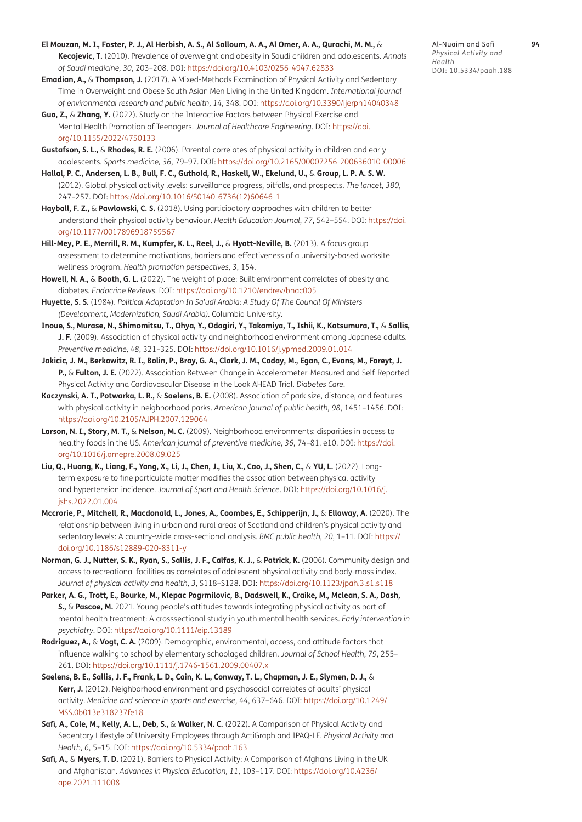- <span id="page-8-15"></span>**El Mouzan, M. I., Foster, P. J., Al Herbish, A. S., Al Salloum, A. A., Al Omer, A. A., Qurachi, M. M.,** & **Kecojevic, T.** (2010). Prevalence of overweight and obesity in Saudi children and adolescents. *Annals of Saudi medicine, 30*, 203–208. DOI: <https://doi.org/10.4103/0256-4947.62833>
- <span id="page-8-19"></span>**Emadian, A.,** & **Thompson, J.** (2017). A Mixed-Methods Examination of Physical Activity and Sedentary Time in Overweight and Obese South Asian Men Living in the United Kingdom. *International journal of environmental research and public health, 14*, 348. DOI:<https://doi.org/10.3390/ijerph14040348>
- <span id="page-8-2"></span>**Guo, Z.,** & **Zhang, Y.** (2022). Study on the Interactive Factors between Physical Exercise and Mental Health Promotion of Teenagers. *Journal of Healthcare Engineering*. DOI: [https://doi.](https://doi.org/10.1155/2022/4750133) [org/10.1155/2022/4750133](https://doi.org/10.1155/2022/4750133)
- <span id="page-8-13"></span>**Gustafson, S. L.,** & **Rhodes, R. E.** (2006). Parental correlates of physical activity in children and early adolescents. *Sports medicine, 36*, 79–97. DOI:<https://doi.org/10.2165/00007256-200636010-00006>
- <span id="page-8-0"></span>**Hallal, P. C., Andersen, L. B., Bull, F. C., Guthold, R., Haskell, W., Ekelund, U.,** & **Group, L. P. A. S. W.** (2012). Global physical activity levels: surveillance progress, pitfalls, and prospects. *The lancet, 380*, 247–257. DOI: [https://doi.org/10.1016/S0140-6736\(12\)60646-1](https://doi.org/10.1016/S0140-6736(12)60646-1)
- <span id="page-8-16"></span>**Hayball, F. Z.,** & **Pawlowski, C. S.** (2018). Using participatory approaches with children to better understand their physical activity behaviour. *Health Education Journal, 77*, 542–554. DOI: [https://doi.](https://doi.org/10.1177/0017896918759567) [org/10.1177/0017896918759567](https://doi.org/10.1177/0017896918759567)
- <span id="page-8-20"></span>**Hill-Mey, P. E., Merrill, R. M., Kumpfer, K. L., Reel, J.,** & **Hyatt-Neville, B.** (2013). A focus group assessment to determine motivations, barriers and effectiveness of a university-based worksite wellness program. *Health promotion perspectives, 3*, 154.
- <span id="page-8-5"></span>**Howell, N. A.,** & **Booth, G. L.** (2022). The weight of place: Built environment correlates of obesity and diabetes. *Endocrine Reviews*. DOI:<https://doi.org/10.1210/endrev/bnac005>
- <span id="page-8-18"></span>**Huyette, S. S.** (1984). *Political Adaptation In Sa'udi Arabia: A Study Of The Council Of Ministers (Development, Modernization, Saudi Arabia).* Columbia University.
- <span id="page-8-7"></span>**Inoue, S., Murase, N., Shimomitsu, T., Ohya, Y., Odagiri, Y., Takamiya, T., Ishii, K., Katsumura, T.,** & **Sallis, J. F.** (2009). Association of physical activity and neighborhood environment among Japanese adults. *Preventive medicine, 48*, 321–325. DOI:<https://doi.org/10.1016/j.ypmed.2009.01.014>
- <span id="page-8-4"></span>**Jakicic, J. M., Berkowitz, R. I., Bolin, P., Bray, G. A., Clark, J. M., Coday, M., Egan, C., Evans, M., Foreyt, J. P.,** & **Fulton, J. E.** (2022). Association Between Change in Accelerometer-Measured and Self-Reported Physical Activity and Cardiovascular Disease in the Look AHEAD Trial. *Diabetes Care*.
- <span id="page-8-10"></span>**Kaczynski, A. T., Potwarka, L. R.,** & **Saelens, B. E.** (2008). Association of park size, distance, and features with physical activity in neighborhood parks. *American journal of public health, 98*, 1451–1456. DOI: <https://doi.org/10.2105/AJPH.2007.129064>
- <span id="page-8-11"></span>**Larson, N. I., Story, M. T.,** & **Nelson, M. C.** (2009). Neighborhood environments: disparities in access to healthy foods in the US. *American journal of preventive medicine, 36*, 74–81. e10. DOI: [https://doi.](https://doi.org/10.1016/j.amepre.2008.09.025) [org/10.1016/j.amepre.2008.09.025](https://doi.org/10.1016/j.amepre.2008.09.025)
- <span id="page-8-3"></span>**Liu, Q., Huang, K., Liang, F., Yang, X., Li, J., Chen, J., Liu, X., Cao, J., Shen, C.,** & **YU, L.** (2022). Longterm exposure to fine particulate matter modifies the association between physical activity and hypertension incidence. *Journal of Sport and Health Science*. DOI: [https://doi.org/10.1016/j.](https://doi.org/10.1016/j.jshs.2022.01.004) [jshs.2022.01.004](https://doi.org/10.1016/j.jshs.2022.01.004)
- <span id="page-8-17"></span>**Mccrorie, P., Mitchell, R., Macdonald, L., Jones, A., Coombes, E., Schipperijn, J.,** & **Ellaway, A.** (2020). The relationship between living in urban and rural areas of Scotland and children's physical activity and sedentary levels: A country-wide cross-sectional analysis. *BMC public health, 20*, 1–11. DOI: [https://](https://doi.org/10.1186/s12889-020-8311-y) [doi.org/10.1186/s12889-020-8311-y](https://doi.org/10.1186/s12889-020-8311-y)
- <span id="page-8-9"></span>**Norman, G. J., Nutter, S. K., Ryan, S., Sallis, J. F., Calfas, K. J.,** & **Patrick, K.** (2006). Community design and access to recreational facilities as correlates of adolescent physical activity and body-mass index. *Journal of physical activity and health, 3*, S118–S128. DOI: <https://doi.org/10.1123/jpah.3.s1.s118>
- <span id="page-8-1"></span>**Parker, A. G., Trott, E., Bourke, M., Klepac Pogrmilovic, B., Dadswell, K., Craike, M., Mclean, S. A., Dash, S.,** & **Pascoe, M.** 2021. Young people's attitudes towards integrating physical activity as part of mental health treatment: A crosssectional study in youth mental health services. *Early intervention in psychiatry*. DOI: <https://doi.org/10.1111/eip.13189>
- <span id="page-8-12"></span>**Rodriguez, A.,** & **Vogt, C. A.** (2009). Demographic, environmental, access, and attitude factors that influence walking to school by elementary schoolaged children. *Journal of School Health*, 79, 255-261. DOI: <https://doi.org/10.1111/j.1746-1561.2009.00407.x>
- <span id="page-8-6"></span>**Saelens, B. E., Sallis, J. F., Frank, L. D., Cain, K. L., Conway, T. L., Chapman, J. E., Slymen, D. J.,** & **Kerr, J.** (2012). Neighborhood environment and psychosocial correlates of adults' physical activity. *Medicine and science in sports and exercise, 44*, 637–646. DOI: [https://doi.org/10.1249/](https://doi.org/10.1249/MSS.0b013e318237fe18) [MSS.0b013e318237fe18](https://doi.org/10.1249/MSS.0b013e318237fe18)
- <span id="page-8-14"></span>**Safi, A., Cole, M., Kelly, A. L., Deb, S.,** & **Walker, N. C.** (2022). A Comparison of Physical Activity and Sedentary Lifestyle of University Employees through ActiGraph and IPAQ-LF. *Physical Activity and Health, 6*, 5–15. DOI:<https://doi.org/10.5334/paah.163>
- <span id="page-8-8"></span>**Safi, A.,** & **Myers, T. D.** (2021). Barriers to Physical Activity: A Comparison of Afghans Living in the UK and Afghanistan. *Advances in Physical Education, 11*, 103–117. DOI: [https://doi.org/10.4236/](https://doi.org/10.4236/ape.2021.111008) [ape.2021.111008](https://doi.org/10.4236/ape.2021.111008)

Al-Nuaim and Safi **94** *Physical Activity and Health* DOI: 10.5334/paah.188